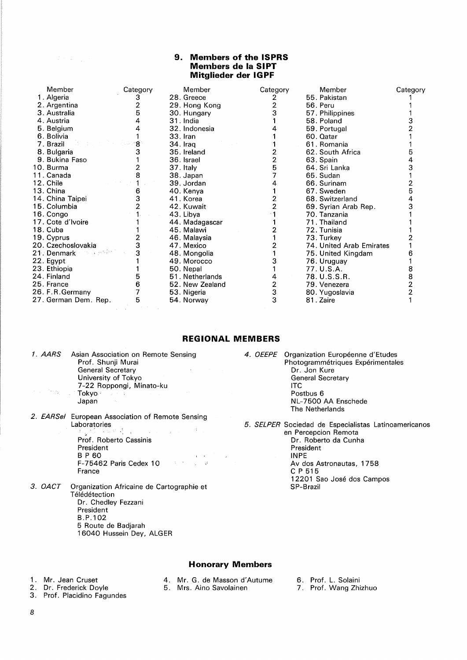## **9. Members of the ISPRS Members de la SIPT Mitglieder der IGPF**

| 1. Algeria<br>28. Greece<br>55. Pakistan<br>3<br>2. Argentina<br>29. Hong Kong<br>56. Peru<br>3. Australia<br>5<br>30. Hungary<br>57. Philippines<br>4. Austria<br>31. India<br>58. Poland<br>5. Belgium<br>32. Indonesia<br>59. Portugal<br>6. Bolivia<br>$33.$ Iran<br>60. Qatar<br>ਾ 8ੇ<br>7. Brazil<br>61. Romania<br>34. Iraq<br>8. Bulgaria<br>62. South Africa<br>35. Ireland<br>2<br>9. Bukina Faso<br>36. Israel<br>63. Spain<br>10. Burma<br>37. Italy<br>64. Sri Lanka<br>11. Canada<br>65. Sudan<br>38. Japan<br>12. Chile<br>39. Jordan<br>66. Surinam<br>13. China<br>6<br>67. Sweden<br>40. Kenya<br>14. China Taipei<br>41. Korea<br>68. Switzerland<br>15. Columbia<br>42. Kuwait<br>69. Syrian Arab Rep.<br>16. Congo<br>43. Libya<br>70. Tanzania<br>17. Cote d'Ivoire<br>71. Thailand<br>44. Madagascar<br>18. Cuba<br>45. Malawi<br>72. Tunisia<br>19. Cyprus<br>46. Malaysia<br>73. Turkey<br>20. Czechoslovakia<br>47. Mexico<br>74. United Arab Emirates<br>3<br>21. Denmark<br>The car project<br>48. Mongolia<br>75. United Kingdam<br>22. Egypt<br>49. Morocco<br>76. Uruguay<br>23. Ethiopia<br>77. U.S.A.<br>50. Nepal<br>24. Finland<br>78. U.S.S.R.<br>5<br>51. Netherlands | Category | Member | Category | Member | Category | Member |  |
|------------------------------------------------------------------------------------------------------------------------------------------------------------------------------------------------------------------------------------------------------------------------------------------------------------------------------------------------------------------------------------------------------------------------------------------------------------------------------------------------------------------------------------------------------------------------------------------------------------------------------------------------------------------------------------------------------------------------------------------------------------------------------------------------------------------------------------------------------------------------------------------------------------------------------------------------------------------------------------------------------------------------------------------------------------------------------------------------------------------------------------------------------------------------------------------------------------|----------|--------|----------|--------|----------|--------|--|
|                                                                                                                                                                                                                                                                                                                                                                                                                                                                                                                                                                                                                                                                                                                                                                                                                                                                                                                                                                                                                                                                                                                                                                                                            |          |        |          |        |          |        |  |
|                                                                                                                                                                                                                                                                                                                                                                                                                                                                                                                                                                                                                                                                                                                                                                                                                                                                                                                                                                                                                                                                                                                                                                                                            |          |        |          |        |          |        |  |
|                                                                                                                                                                                                                                                                                                                                                                                                                                                                                                                                                                                                                                                                                                                                                                                                                                                                                                                                                                                                                                                                                                                                                                                                            |          |        |          |        |          |        |  |
|                                                                                                                                                                                                                                                                                                                                                                                                                                                                                                                                                                                                                                                                                                                                                                                                                                                                                                                                                                                                                                                                                                                                                                                                            |          |        |          |        |          |        |  |
|                                                                                                                                                                                                                                                                                                                                                                                                                                                                                                                                                                                                                                                                                                                                                                                                                                                                                                                                                                                                                                                                                                                                                                                                            |          |        |          |        |          |        |  |
|                                                                                                                                                                                                                                                                                                                                                                                                                                                                                                                                                                                                                                                                                                                                                                                                                                                                                                                                                                                                                                                                                                                                                                                                            |          |        |          |        |          |        |  |
|                                                                                                                                                                                                                                                                                                                                                                                                                                                                                                                                                                                                                                                                                                                                                                                                                                                                                                                                                                                                                                                                                                                                                                                                            |          |        |          |        |          |        |  |
|                                                                                                                                                                                                                                                                                                                                                                                                                                                                                                                                                                                                                                                                                                                                                                                                                                                                                                                                                                                                                                                                                                                                                                                                            |          |        |          |        |          |        |  |
|                                                                                                                                                                                                                                                                                                                                                                                                                                                                                                                                                                                                                                                                                                                                                                                                                                                                                                                                                                                                                                                                                                                                                                                                            |          |        |          |        |          |        |  |
|                                                                                                                                                                                                                                                                                                                                                                                                                                                                                                                                                                                                                                                                                                                                                                                                                                                                                                                                                                                                                                                                                                                                                                                                            |          |        |          |        |          |        |  |
|                                                                                                                                                                                                                                                                                                                                                                                                                                                                                                                                                                                                                                                                                                                                                                                                                                                                                                                                                                                                                                                                                                                                                                                                            |          |        |          |        |          |        |  |
|                                                                                                                                                                                                                                                                                                                                                                                                                                                                                                                                                                                                                                                                                                                                                                                                                                                                                                                                                                                                                                                                                                                                                                                                            |          |        |          |        |          |        |  |
|                                                                                                                                                                                                                                                                                                                                                                                                                                                                                                                                                                                                                                                                                                                                                                                                                                                                                                                                                                                                                                                                                                                                                                                                            |          |        |          |        |          |        |  |
|                                                                                                                                                                                                                                                                                                                                                                                                                                                                                                                                                                                                                                                                                                                                                                                                                                                                                                                                                                                                                                                                                                                                                                                                            |          |        |          |        |          |        |  |
|                                                                                                                                                                                                                                                                                                                                                                                                                                                                                                                                                                                                                                                                                                                                                                                                                                                                                                                                                                                                                                                                                                                                                                                                            |          |        |          |        |          |        |  |
|                                                                                                                                                                                                                                                                                                                                                                                                                                                                                                                                                                                                                                                                                                                                                                                                                                                                                                                                                                                                                                                                                                                                                                                                            |          |        |          |        |          |        |  |
|                                                                                                                                                                                                                                                                                                                                                                                                                                                                                                                                                                                                                                                                                                                                                                                                                                                                                                                                                                                                                                                                                                                                                                                                            |          |        |          |        |          |        |  |
|                                                                                                                                                                                                                                                                                                                                                                                                                                                                                                                                                                                                                                                                                                                                                                                                                                                                                                                                                                                                                                                                                                                                                                                                            |          |        |          |        |          |        |  |
|                                                                                                                                                                                                                                                                                                                                                                                                                                                                                                                                                                                                                                                                                                                                                                                                                                                                                                                                                                                                                                                                                                                                                                                                            |          |        |          |        |          |        |  |
|                                                                                                                                                                                                                                                                                                                                                                                                                                                                                                                                                                                                                                                                                                                                                                                                                                                                                                                                                                                                                                                                                                                                                                                                            |          |        |          |        |          |        |  |
|                                                                                                                                                                                                                                                                                                                                                                                                                                                                                                                                                                                                                                                                                                                                                                                                                                                                                                                                                                                                                                                                                                                                                                                                            |          |        |          |        |          |        |  |
|                                                                                                                                                                                                                                                                                                                                                                                                                                                                                                                                                                                                                                                                                                                                                                                                                                                                                                                                                                                                                                                                                                                                                                                                            |          |        |          |        |          |        |  |
|                                                                                                                                                                                                                                                                                                                                                                                                                                                                                                                                                                                                                                                                                                                                                                                                                                                                                                                                                                                                                                                                                                                                                                                                            |          |        |          |        |          |        |  |
|                                                                                                                                                                                                                                                                                                                                                                                                                                                                                                                                                                                                                                                                                                                                                                                                                                                                                                                                                                                                                                                                                                                                                                                                            |          |        |          |        |          |        |  |
| 2<br>25. France<br>6<br>52. New Zealand<br>79. Venezera                                                                                                                                                                                                                                                                                                                                                                                                                                                                                                                                                                                                                                                                                                                                                                                                                                                                                                                                                                                                                                                                                                                                                    |          |        |          |        |          |        |  |
| 3<br>26. F.R. Germany<br>53. Nigeria<br>80. Yugoslavia                                                                                                                                                                                                                                                                                                                                                                                                                                                                                                                                                                                                                                                                                                                                                                                                                                                                                                                                                                                                                                                                                                                                                     |          |        |          |        |          |        |  |
| 3<br>27. German Dem. Rep.<br>5<br>81. Zaire<br>54. Norway                                                                                                                                                                                                                                                                                                                                                                                                                                                                                                                                                                                                                                                                                                                                                                                                                                                                                                                                                                                                                                                                                                                                                  |          |        |          |        |          |        |  |

# **REGIONAL MEMBERS**

| 1. AARS | Asian Association on Remote Sensing                                             |  |
|---------|---------------------------------------------------------------------------------|--|
|         | Prof. Shunji Murai                                                              |  |
|         | <b>General Secretary</b>                                                        |  |
|         | University of Tokyo                                                             |  |
|         | 7-22 Roppongi, Minato-ku                                                        |  |
|         | and the first contr <b>ol Tokyo</b> Provides and<br>and the control of the con- |  |
|         | Japan                                                                           |  |
|         |                                                                                 |  |

- *2.* EARSel European Association of Remote Sensing Laboratories<br>
Exploratories<br>
Exploration of the state of the state of the state of the state of the state of the state of the state of the Prof. Roberto Cassinis President BP 60  $\chi \rightarrow$ F-75462 Paris Cedex 10  $\label{eq:2.1} \left\langle \hat{\chi}_{\mu} \left( \hat{\mathbf{y}} \right) \right\rangle = \left\langle \hat{\chi}_{\mu} \right\rangle - \left\langle \hat{\mathbf{y}} \right\rangle \right\rangle$ France
- *3.* OACT Organization Africaine de Cartographie et Télédétection Dr. Chedley Fezzani President B.P.102 5 Route de Badjarah
	- 16040 Hussein Dey, ALGER

4. OEEPE Organization Européenne d'Etudes Photogrammétriques Expérimentales Dr. Jon Kure General Secretary ITC Postbus 6 NL-7500 AA Enschede The Netherlands

5. SELPER Sociedad de Especialistas Latinoamericanos en Percepcion Remota

Dr. Roberto da Cunha President INPE Av dos Astronautas, 1758 C P 515 12201 Sao Jose dos Campos SP-Brazil

**Honorary Members** 

- 
- 1. Mr. Jean Cruset **4. Mr. G. de Masson d'Autume**<br>2. Dr. Frederick Doyle **6. Mrs. Aino Savolainen**
- 6. Prof. L. Solaini

3. Prof. Placidino Fagundes

 $\mathcal{L}(\mathcal{F})$  and  $\mathcal{L}(\mathcal{F})$  and  $\mathcal{F}(\mathcal{F})$ 

- 5. Mrs. Aino Savolainen
- 
- 7. Prof. Wang Zhizhuo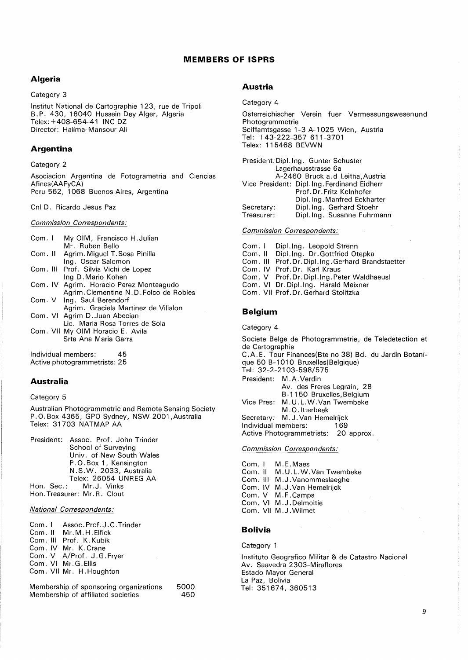# **MEMBERS OF ISPRS**

# **Algeria**

Category 3

lnstitut National de Cartographie 123, rue de Tripoli B. P. 430, 16040 Hussein Dey Alger, Algeria Telex: +408-654-41 INC DZ Director: Halima-Mansour Ali

## **Argentina**

Category 2

Asociacion Argentina de Fotogrametria and Ciencias Afines(AAFyCA) Peru 562, 1068 Buenos Aires, Argentina

Cnl D. Ricardo Jesus Paz

*Commission Correspondents:* 

| Com. I | My OIM, Francisco H.Julian              |
|--------|-----------------------------------------|
|        | Mr. Ruben Bello                         |
|        | Com. II Agrim. Miguel T. Sosa Pinilla   |
|        | Ing. Oscar Salomon                      |
|        | Com. III Prof. Silvia Vichi de Lopez    |
|        | Ing D. Mario Kohen                      |
|        | Com. IV Agrim. Horacio Perez Monteagudo |
|        | Agrim. Clementine N.D. Folco de Robles  |
|        | Com. V Ing. Saul Berendorf              |
|        | Agrim. Graciela Martinez de Villalon    |
|        | Com. VI Agrim D. Juan Abecian           |
|        | Lic. Maria Rosa Torres de Sola          |
|        | Com. VII My OIM Horacio E. Avila        |
|        | Srta Ana Maria Garra                    |
|        |                                         |
|        |                                         |

Individual members: 45 Active photogrammetrists: 25

# **Australia**

### Category 5

Australian Photogrammetric and Remote Sensing Society P.O.Box 4365, GPO Sydney, NSW 2001,Australia Telex: 31703 NATMAP AA

President: Assoc. Prof. John Trinder School of Surveying Univ. of New South Wales P. 0. Box 1 , Kensington N. S. W. 2033, Australia Telex: 26054 UNREG AA Hon. Sec.: Mr.J. Vinks Hon. Treasurer: Mr. R. Clout

*National Correspondents:* 

Com. I Assoc.Prof.J.C.Trinder Com. II Mr. M. H. Elfick Com. Ill Prof. K.Kubik Com. IV Mr. K.Crane Com. V A/Prof. J.G.Fryer Com. VI Mr.G.Ellis Com. VII Mr. H. Houghton

Membership of sponsoring organizations Membership of affiliated societies 5000 450

## **Austria**

Category 4

Osterreichischer Verein fuer Vermessungswesenund Photogrammetrie Sciffamtsgasse 1-3 A-1025 Wien, Austria Tel: +43-222-357 611-3701 Telex: 115468 BEVWN

President: Dipl. Ing. Gunter Schuster Lagerhausstrasse 6a A-2460 Bruck a.d.Leitha,Austria Vice President: Dipl. Ing. Ferdinand Eidherr Secretary: Treasurer: Prof. Dr. Fritz Kelnhofer Dipl. Ing. Manfred Eckharter Dipl. Ing. Gerhard Stoehr Dip!. Ing. Susanne Fuhrmann

#### *Commission Correspondents:*

Com. I Dipl. Ing. Leopold Strenn Com. II Dipl. Ing. Dr. Gottfried Otepka Com. Ill Prof.Dr.Dipl.lng.Gerhard Brandstaetter Com. IV Prof. Dr. Karl Kraus Com. V Prof. Dr. Dipl. Ing. Peter Waldhaeusl Com. VI Dr.Dipl.lng. Harald Meixner Com. VII Prof. Dr. Gerhard Stolitzka

### **Belgium**

Category 4

Societe Beige de Photogrammetrie, de Teledetection et de Cartographie C.A.E. Tour Finances(Bte no 38) Bd. du Jardin Botanique 50 B-1010 Bruxelles(Belgique) Tel: 32-2-2103-598/575 President: M.A. Verdin Av. des Freres Legrain, 28 B-1150 Bruxelles, Belgium Vice Pres: M. U. L. W. Van Twembeke M. 0. ltterbeek Secretary: M. J. Van Hemelrijck Individual members: 169 Active Photogrammetrists: 20 approx.

## *Commission Correspondents:*

Com. I M.E.Maes Com. II M.U.L.W.Van Twembeke Com. Ill M .J. Vanommeslaeghe Com. IV M.J. Van Hemelrijck Com. V M.F.Camps Com. VI M. J. Delmoitie Com. VII M.J.Wilmet

## **Bolivia**

Category 1

Institute Geografico Militar & de Catastro Nacional Av. Saavedra 2303-Miraflores Estado Mayor General La Paz, Bolivia Tel: 351674, 360513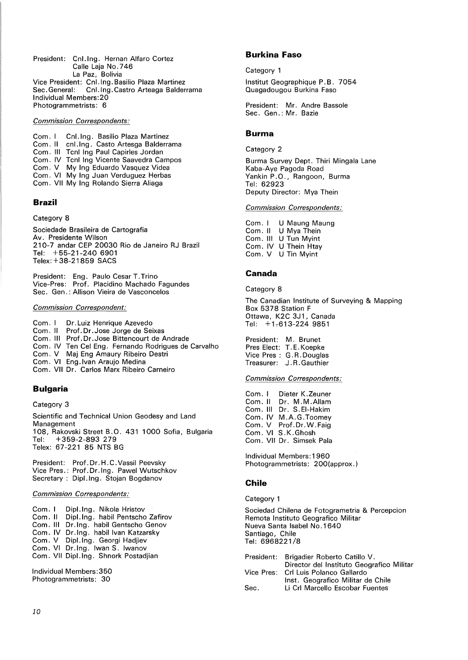President: Cnl. Ing. Hernan Alfaro Cortez Calle Laja No. 7 46 La Paz, Bolivia Vice President: Cnl. Ing. Basilio Plaza Martinez Sec. General: Cnl. Ing. Castro Arteaga Balderrama Individual Members:20 Photogrammetrists: 6

*Commission Correspondents:* 

Com. I Cnl. Ing. Basilio Plaza Martinez Com. II cnl. Ing. Casto Artesga Balderrama Com. Ill Tcnl Ing Paul Capirles Jordan Com. IV Tcnl Ing Vicente Saavedra Campos Com. V My Ing Eduardo Vasquez Videa Com. VI My Ing Juan Verduguez Herbas Com. VII My Ing Rolando Sierra Aliaga

### **Brazil**

Category 8

Sociedade Brasileira de Cartografia Av. Presidente Wilson 210-7 andar CEP 20030 Rio de Janeiro RJ Brazil Tel: +55-21-240 6901 Telex:+ 38-21859 SACS

President: Eng. Paulo Cesar T. Trino Vice-Pres: Prof. Placidino Machado Fagundes Sec. Gen.: Allison Vieira de Vasconcelos

#### *Commission Correspondent:*

Com. I Dr. Luiz Henrique Azevedo<br>Com. Il Prof. Dr. Jose Jorge de Sei Prof. Dr. Jose Jorge de Seixas Com. Ill Prof.Dr.Jose Bittencourt de Andrade Com. IV Ten Cel Eng. Fernando Rodrigues de Carvalho Com. V Maj Eng Amaury Ribeiro Destri Com. VI Eng. Ivan Araujo Medina Com. VII Dr. Carlos Marx Ribeiro Carneiro **Bulgaria** 

Category 3

Scientific and Technical Union Geodesy and Land Management 1 08, Rakovski Street B. 0. 431 1 000 Sofia, Bulgaria Tel: +359-2-893 279 Telex: 67-221 85 NTS BG

President: Prof. Dr. H. C. Vassil Peevsky Vice Pres. : Prof. Dr. Ing. Pawel Wutschkov Secretary : Dipl. Ing. Stojan Bogdanov

### *Commission Correspondents:*

Com. I Dipl. Ing. Nikola Hristov<br>Com. II Dipl. Ing. habil Pentscho Dipl. Ing. habil Pentscho Zafirov Com. Ill Dr.Ing. habil Gentscho Genov Com. IV Dr. Ing. habil Ivan Katzarsky Com. V Dipl. Ing. Georgi Hadjiev Com. VI Dr. Ing. lwan S. lwanov Com. VII Dipl. Ing. Shnork Postadjian

Individual Members:350 Photogrammetrists: 30

### **Burkina Faso**

Category 1

lnstitut Geographique P. B. 7054 Ouagadougou Burkina Faso

President: Mr. Andre Bassole Sec. Gen.: Mr. Bazie

## **Burma**

Category 2

Burma Survey Dept. Thiri Mingala Lane Kaba-Aye Pagoda Road Yankin P.O., Rangoon, Burma Tel: **62923**  Deputy Director: Mya Thein

### *Commission Correspondents:*

Com. I Com. II U Mya Thein Com. Ill U Tun Myint Com. IV U Thein Htay Com. V U Tin Myint U Maung Maung

## **Canada**

Category 8

The Canadian Institute of Surveying & Mapping Box 5378 Station F Ottawa, K2C 3J1, Canada Tel:  $+1.613-224.9851$ 

President: M. Brunet Pres Elect: T. E. Koepke Vice Pres : G. R. Douglas Treasurer: J. R. Gauthier

#### *Commission Correspondents:*

Com. I Dieter K.Zeuner Com. II Dr. M.M.Allam Com. Ill Dr. S.EI-Hakim Com. IV M.A.G.Toomey Com. V Prof.Dr.W.Faig Com. VI S.K.Ghosh Com. VII Dr. Simsek Pala

Individual Members: 1960 Photogrammetrists: 200(approx.)

### **Chile**

#### Category 1

Sociedad Chilena de Fotogrametria & Percepcion Remota lnstituto Geografico Militar Nueva Santa Isabel No.1640 Santiago, Chile Tel: **6968221 /8** 

|      | President: Brigadier Roberto Catillo V.   |
|------|-------------------------------------------|
|      | Director del Instituto Geografico Militar |
|      | Vice Pres: Crl Luis Polanco Gallardo      |
|      | Inst. Geografico Militar de Chile         |
| Sec. | Li Crl Marcello Escobar Fuentes           |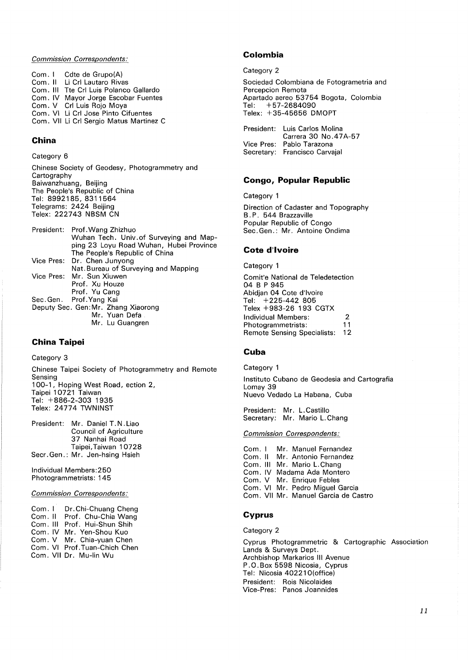## *Commission Correspondents:*

Com. I Cdte de Grupo(A) Com. II Li Crl Lautaro Rivas Com. Ill Tte Crl Luis Polanco Gallardo Com. IV Mayor Jorge Escobar Fuentes Com. V Crl Luis Rojo Moya Com. VI Li Crl Jose Pinto Cifuentes Com. VII Li Crl Sergio Matus Martinez C

## **China**

Category 6

Chinese Society of Geodesy, Photogrammetry and Cartography Baiwanzhuang, Beijing The People's Republic of China Tel: 8992185, 8311564 Telegrams: 2424 Beijing Telex: 222743 NBSM CN

President: Prof. Wang Zhizhuo Wuhan Tech. Univ .of Surveying and Mapping 23 Loyu Road Wuhan, Hubei Province The People's Republic of China Vice Pres: Dr. Chen Junyong Nat. Bureau of Surveying and Mapping Vice Pres: Mr. Sun Xiuwen Prof. Xu Houze Prof. Yu Cang Sec.Gen. Prof.Yang Kai Deputy Sec. Gen:Mr. Zhang Xiaorong Mr. Yuan Defa Mr. Lu Guangren

## **China Taipei**

Category 3

Chinese Taipei Society of Photogrammetry and Remote Sensing 100-1, Hoping West Road, ection 2, Taipei 10721 Taiwan Tel: +886-2-303 1935 Telex: 24774 TWNINST

President: Mr. Daniel T. N. Liao Council of Agriculture 37 Nanhai Road Taipei, Taiwan 10728 Seer. Gen.: Mr. Jen-hsing Hsieh

Individual Members:250 Photogrammetrists: 145

### *Commission Correspondents:*

Com. I Com. II Com. Ill Prof. Hui-Shun Shih Com. IV Com. V Com. VI Prof. Tuan-Chich Chen Com. VII Dr. Mu-lin Wu Dr. Chi-Chuang Cheng Prof. Chu-Chia Wang Mr. Yen-Shou Kuo Mr. Chia-yuan Chen

## **Colombia**

Category 2

Sociedad Colombiana de Fotogrametria and Percepcion Remota Apartado aereo 53754 Bogota, Colombia Tel: +57-2684090 Telex: +35-45656 DMOPT

| President: Luis Carlos Molina |
|-------------------------------|
| Carrera 30 No. 47A-57         |
| Vice Pres: Pablo Tarazona     |
| Secretary: Francisco Carvaial |

## **Congo, Popular Republic**

Category 1

Direction of Cadaster and Topography B. P. 544 Brazzaville Popular Republic of Congo Sec. Gen.: Mr. Antoine Ondima

## **Cote d'Ivoire**

Category 1

Comit'e National de Teledetection 04 BP 945 Abidjan 04 Cote d'Ivoire Tel: +225-442 805 Telex +983-26 193 CGTX Individual Members: 2 Photogrammetrists: 11 Remote Sensing Specialists: 12

#### **Cuba**

Category 1

lnstituto Cubano de Geodesia and Cartografia Lomay 39 Nuevo Vedado La Habana, Cuba

President: Mr. L. Castillo Secretary: Mr. Mario L. Chang

## *Commission Correspondents:*

Com. I Mr. Manuel Fernandez<br>Com. II Mr. Antonio Fernandez Mr. Antonio Fernandez Com. Ill Mr. Mario L.Chang Com. IV Madama Ada Montero Com. V Mr. Enrique Febles Com. VI Mr. Pedro Miguel Garcia Com. VII Mr. Manuel Garcia de Castro

## **Cyprus**

Category 2

Cyprus Photogrammetric & Cartographic Association Lands & Surveys Dept. Archbishop Markarios Ill Avenue P. 0. Box 5598 Nicosia, Cyprus Tel: Nicosia 40221 O(office) President: Rois Nicolaides Vice-Pres: Panos Joannides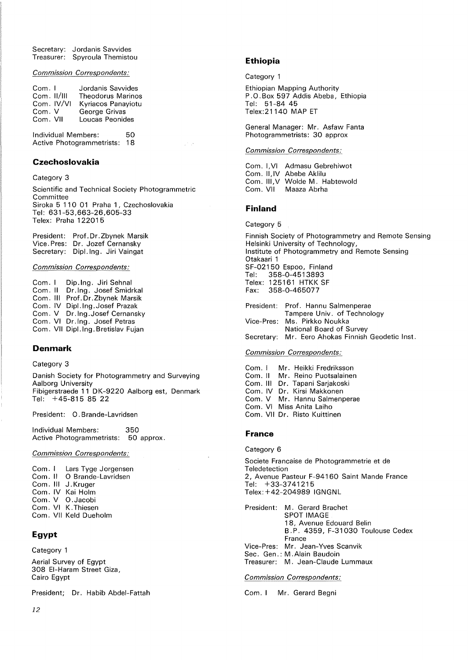Secretary: Jordanis Savvides Treasurer: Spyroula Themistou

*Commission Correspondents:* 

Com. I Com. 11/111 Com. IV/VI Com. V Com. VII Jordanis Savvides Theodorus Marinos Kyriacos Panayiotu George Grivas Loucas Peonides

Individual Members: 50 Active Photogrammetrists: 18

## **Czechoslovakia**

Category **3** 

Scientific and Technical Society Photogrammetric Committee Siroka 5 110 01 Praha 1, Czechoslovakia Tel: **631-53,663-26,605-33**  Telex: Praha 122015

President: Prof.Dr.Zbynek Marsik Vice. Pres: Dr. Jozef Cernansky Secretary: Dipl. Ing. Jiri Vaingat

#### *Commission Correspondents:*

Com. I Com. II Com. Ill Com. IV Dipl.lng.Josef Prazak Com. V Dr.Ing.Josef Cernansky Com. VI Dr. Ing. Josef Petras Com. VII Dipl. Ing. Bretislav Fujan Dip.Ing. Jiri Sehnal Dr. Ing. Josef Smidrkal Prof.Dr.Zbynek Marsik

## **Denmark**

### Category 3

Danish Society for Photogrammetry and Surveying Aalborg University Fibigerstraede **11** DK-9220 Aalborg est, Denmark Tel: +45-815 85 22

President: 0. Brande-Lavridsen

Individual Members: 350 Active Photogrammetrists: 50 approx.

### *Commission Correspondents:*

Com. I Lars Tyge Jorgensen Com. II O Brande-Lavridsen Com. Ill J. Kruger Com. IV Kai Holm Com. V O.Jacobi Com. VI K. Thiesen Com. VII Keld Dueholm

## **Egypt**

Category 1

Aerial Survey of Egypt 308 El-Haram Street Giza, Cairo Egypt

President; Dr. Habib Abdel-Fattah

# **Ethiopia**

Category 1

Ethiopian Mapping Authority P. 0. Box 597 Addis Abeba, Ethiopia Tel: 51-84 45 Telex:21140 MAP ET

General Manager: Mr. Asfaw Fanta Photogrammetrists: 30 approx

## *Commission Correspondents:*

Com. l,VI Admasu Gebrehiwot Com. II,IV Abebe Aklilu Com. **111,V**  Wolde M. Habtewold Com. VII Maaza Abrha

### **Finland**

#### Category 5

Finnish Society of Photogrammetry and Remote Sensing Helsinki University of Technology, Institute of Photogrammetry and Remote Sensing Otakaari 1 SF-02150 Espoo, Finland Tel: 358-0-4513893 Telex: 1 25161 HTKK SF Fax: 358-0-465077 President: Prof. Hannu Salmenperae

| T Tesiuelit. FTUT. Hallitu Jahlienpelae           |
|---------------------------------------------------|
| Tampere Univ. of Technology                       |
| Vice-Pres: Ms. Pirkko Noukka                      |
| National Board of Survey                          |
| Secretary: Mr. Eero Ahokas Finnish Geodetic Inst. |
|                                                   |

### *Commission Correspondents:*

Com. I Com. II Com. **Ill**  Dr. Tapani Sarjakoski Com. IV Dr. Kirsi Makkonen Com. V Mr. Hannu Salmenperae Com. VI Miss Anita Laiho Com. VII Dr. Risto Kuittinen Mr. Heikki Fredriksson Mr. Reino Puotsalainen

## **France**

### Category 6

Societe Francaise de Photogrammetrie et de **Teledetection** 2, Avenue Pasteur F-94160 Saint Mande France Tel: +33-3741215 Telex: +42-204989 IGNGNL

President: M. Gerard Brachet SPOT IMAGE 18, Avenue Edouard Belin B. P. 4359, F-31 030 Toulouse Cedex France Vice-Pres: Mr. Jean-Yves Scanvik Sec. Gen.: M. Alain Baudoin Treasurer: M. Jean-Claude Lummaux

*Commission Correspondents:* 

Com. I Mr. Gerard Begni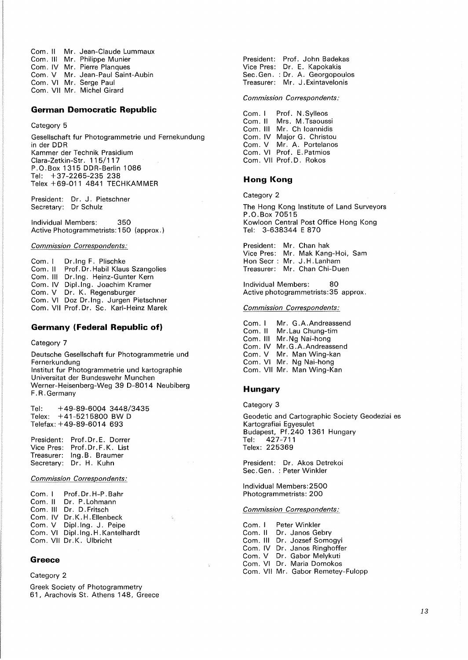Com. II Mr. Jean-Claude Lummaux<br>Com. III Mr. Philippe Munier Com. III Mr. Philippe Munier<br>Com. IV Mr. Pierre Planques Com. IV Mr. Pierre Planques<br>Com. V Mr. Jean-Paul Saint Mr. Jean-Paul Saint-Aubin Com. VI Mr. Serge Paul Com. VII Mr. Michel Girard

## **German Democratic Republic**

#### Category 5

Gesellschaft fur Photogrammetrie und Fernekundung in der DOR Kammer der Technik Prasidium Clara-Zetkin-Str. 115/117 P.0.Box 1315 DOR-Berlin 1086 Tel: +37-2265-235 238 Telex +69-011 4841 TECHKAMMER

President: Dr. J. Pietschner Secretary: Dr Schulz

Individual Members: 350 Active Photogrammetrists: 150 (approx.)

### *Commission Correspondents:*

Com. I Com. II Com. Ill Dr. Ing. Heinz-Gunter Kern Com. IV Dipl. Ing. Joachim Kramer Com. V Dr. K. Regensburger Com. VI Com. VII Dr. Ing F. Plischke Prof. Dr. Habil Klaus Szangolies Doz Dr. Ing. Jurgen Pietschner Prof. Dr. Sc. Karl-Heinz Marek

## **Germany (Federal Republic of)**

### Category 7

Deutsche Gesellschaft fur Photogrammetrie und Fernerkundung lnstitut fur Photogrammetrie und kartographie Universitat der Bundeswehr Munchen Werner-Heisenberg-Weg 39 D-8014 Neubiberg F. R. Germany

Tel: +49-89-6004 3448/3435 Telex: +41-5215800 BW D Telefax: +49-89-6014 693

President: Prof. Dr. E. Dorrer Vice Pres: Prof.Dr.F.K. List Treasurer: Ing. B. Braumer Secretary: Dr. H. Kuhn

*Commission Correspondents:* 

Com. I Com. II Com. Ill Dr. D.Fritsch Com. IV Dr.K.H. Ellenbeck Com. V Dipl. Ing. J. Peipe Com. VI Dipl. Ing. H. Kantelhardt Com. VII Dr. K. Ulbricht Prof. Dr. H-P. Bahr Dr. P.Lohmann

## **Greece**

#### Category 2

Greek Society of Photogrammetry 61, Arachovis St. Athens 148, Greece

President: Prof. John Badekas Vice Pres: Dr. E. Kapokakis Sec.Gen. : Dr. A. Georgopoulos Treasurer: Mr. J. Exintavelonis

#### *Commission Correspondents:*

Com. I Com. II Com. **Ill**  Com. IV Major G. Christou Com. V Mr. A. Portelanos Com. VI Prof. E. Patmios Com. VII Prof. D. Rokos Prof. N . Sylleos Mrs. M.Tsaoussi Mr. Ch Ioannidis

## **Hong Kong**

Category 2

The Hong Kong Institute of Land Surveyors P.0.Box 70515 Kowloon Central Post Office Hong Kong Tel: 3-638344 E 870

President: Mr. Chan hak Vice Pres: Mr. Mak Kang-Hoi, Sam Hon Seer : Mr. J. H. Lanham Treasurer: Mr. Chan Chi-Duen

Individual Members: 80 Active photogrammetrists:35 approx.

#### *Commission Correspondents:*

Com. I Com. II Com. **Ill**  Com. IV Mr. G. A. Andreassend Com. V Mr. Man Wing-kan Com. VI Mr. Ng Nai-hong Com. VII Mr. Man Wing-Kan Mr. G.A.Andreassend Mr. Lau Chung-tim Mr.Ng Nai-hong

### **Hungary**

Category 3

Geodetic and Cartographic Society Geodeziai es Kartografiai Egyesulet Budapest, Pf.240 1361 Hungary Tel: 427-711 Telex: 225369

President: Dr. Akos Detrekoi Sec. Gen. : Peter Winkler

Individual Members:2500 Photogrammetrists: 200

### *Commission Correspondents:*

| Com. I Peter Winkler              |
|-----------------------------------|
| Com. II Dr. Janos Gebry           |
| Com. III Dr. Jozsef Somogyi       |
| Com. IV Dr. Janos Ringhoffer      |
| Com. V Dr. Gabor Melykuti         |
| Com. VI Dr. Maria Domokos         |
| Com. VII Mr. Gabor Remetey-Fulopp |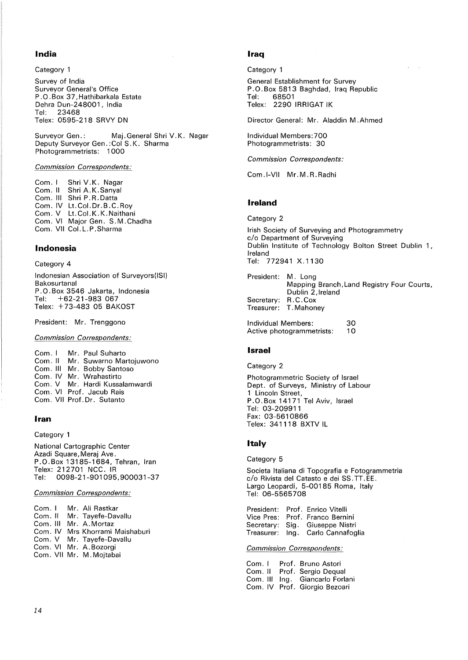## **India**

Category 1

Survey of India Surveyor General's Office P.O. Box 37, Hathibarkala Estate Dehra Dun-248001, India Tel: 23468 Telex: 0595-218 SRVY ON

Surveyor Gen.: Maj. General Shri V.K. Nagar Deputy Surveyor Gen.: Col S.K. Sharma Photogrammetrists: 1 000

### *Commission Correspondents:*

Com. I Shri V.K. Nagar<br>Com. II Shri A.K.Sanval Shri A.K.Sanyal Com. III Shri P.R. Datta Com. IV Lt.Col.Dr.B.C.Roy Com. V Lt. Col. K. K. Naithani Com. VI Major Gen. S.M. Chadha Com. VII Col. L. P. Sharma

## **Indonesia**

#### Category 4

Indonesian Association of Surveyors(ISI) Bakosurtanal P. 0. Box 3546 Jakarta, Indonesia Tel: +62-21-983 067 Telex: +73-483 05 BAKOST

President: Mr. Trenggono

### *Commission Correspondents:*

Com. I Com. II Com. **Ill**  Mr. Bobby Santoso Com. IV Mr. Wrahastirto Com. V Mr. Hardi Kussalamwardi Com. VI Prof. Jacub Rais Com. VII Prof. Dr. Sutanto Mr. Paul Suharto Mr. Suwarno Martojuwono

## **Iran**

## Category 1

National Cartographic Center Azadi Square, Meraj Ave. P.O.Box 13185-1684, Tehran, Iran Telex: 212701 NCC. IR Tel: 0098-21-901095,900031-37

## *Commission Correspondents:*

|  | Com. I Mr. Ali Rastkar          |
|--|---------------------------------|
|  | Com. Il Mr. Tavefe-Davallu      |
|  | Com. III Mr. A. Mortaz          |
|  | Com. IV Mrs Khorrami Maishaburi |
|  | Com. V Mr. Tayefe-Davallu       |
|  | Com. VI Mr. A. Bozorgi          |
|  | Com. VII Mr. M. Mojtabai        |

## **Iraq**

#### Category 1

General Establishment for Survey P.O. Box 5813 Baghdad, Iraq Republic<br>Tel: 68501 Tel: 68501 Telex: 2290 IRRIGAT IK

Director General: Mr. Aladdin M.Ahmed

Individual Members:700 Photogrammetrists: 30

*Commission Correspondents:* 

Com.I-VII Mr.M.R.Radhi

## **Ireland**

Category 2

Irish Society of Surveying and Photogrammetry c/o Department of Surveying Dublin Institute of Technology Bolton Street Dublin 1 , Ireland Tel: 772941 X. 1130

President: M. Long Mapping Branch,Land Registry Four Courts, Dublin 2,lreland Secretary: R.C.Cox<br>Treasurer: T.Mahon T. Mahoney

Individual Members: Active photogrammetrists: 30 10

## **Israel**

## Category 2

Photogrammetric Society of Israel Dept. of Surveys, Ministry of Labour 1 Lincoln Street, P.0.Box 14171 Tel Aviv, Israel Tel: 03-209911 Fax: 03-5610866 Telex: 341118 BXTV IL

## **Italy**

### Category 5

Societa ltaliana di Topografia e Fotogrammetria *cl* o R ivista del Catasto e dei SS. TT. EE. Largo Leopardi, 5-00185 Roma, Italy Tel: 06-5565708

President: Prof. Enrico Vitelli Vice Pres: Prof. Franco Bernini Secretary: Sig. Giuseppe Nistri Treasurer: Ing. Carlo Cannafoglia

#### *Commission Correspondents:*

Com. I Com. II Com. Ill Ing. Giancarlo Forlani Com. IV Prof. Giorgio Bezoari Prof. Bruno Astori Prof. Sergio Dequal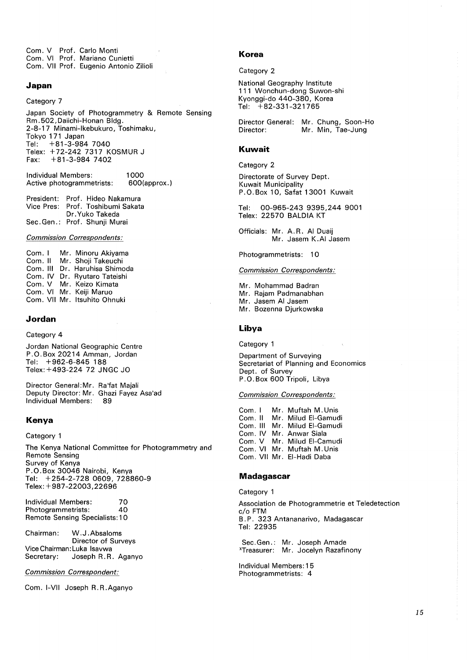Com. V Prof. Carlo Monti Com. VI Prof. Mariano Cunietti Com. VII Prof. Eugenio Antonio Zilioli

## **Japan**

## Category 7

Japan Society of Photogrammetry & Remote Sensing Rm.502,Daiichi-Honan Bldg. 2-8-17 Minami-lkebukuro, Toshimaku, Tokyo 171 Japan Tel: +81-3-984 7040 Telex: +72-242 7317 KOSMUR J Fax: +81-3-984 7402

Individual Members: Active photogrammetrists: 1000 600(approx.)

President: Prof. Hideo Nakamura Vice Pres: Prof. Toshibumi Sakata Dr. Yuko Takeda Sec.Gen.: Prof. Shunji Murai

*Commission Correspondents:* 

Com. I Com. II Com. Ill Dr. Haruhisa Shimoda Com. IV Dr. Ryutaro Tateishi Com. V Mr. Keizo Kimata Com. VI Mr. Keiji Maruo Com. VII Mr. ltsuhito Ohnuki Mr. Minoru Akiyama Mr. Shoji Takeuchi

#### **Jordan**

### Category 4

Jordan National Geographic Centre P.0.Box 20214 Amman, Jordan Tel: +962-6-845 188 Telex: +493-224 72 JNGC JO

Director General:Mr. Ra'fat Majali Deputy Director: Mr. Ghazi Fayez Asa'ad Individual Members: 89

### **Kenya**

#### Category 1

The Kenya National Committee for Photogrammetry and Remote Sensing Survey of Kenya P. 0. Box 30046 Nairobi, Kenya Tel: +254-2-728 0609, 728860-9 Telex: +987-22003,22696

Individual Members: 70 Photogrammetrists: 40 Remote Sensing Specialists: 10

Chairman: W.J .Absaloms Director of Surveys Vice Chairman: Luka lsavwa Secretary: Joseph R.R. Aganyo

*Commission Correspondent:* 

Com. I-VII Joseph R.R.Aganyo

## **Korea**

#### Category 2

National Geography Institute 111 Wonchun-dong Suwon-shi Kyonggi-do 440-380, Korea Tel: +82-331-321765

Director General: Mr. Chung, Soon-Ho Director: Mr. Min, Tae-Jung

### **Kuwait**

Category 2

Directorate of Survey Dept. Kuwait Municipality P.0.Box 10, Safat 13001 Kuwait

Tel: 00-965-243 9395,244 9001 Telex: 22570 BALDIA KT

Officials: Mr. A.R. Al Duaij Mr. Jasem K.AI Jasem

### Photogrammetrists: 10

### *Commission Correspondents:*

Mr. Mohammad Badran Mr. Rajam Padmanabhan Mr. Jasem Al Jasem Mr. Bozenna Djurkowska

### **Libya**

Category 1

Department of Surveying Secretariat of Planning and Economics Dept. of Survey P. 0. Box 600 Tripoli, Libya

#### *Commission Correspondents:*

Com. I Mr. Muftah M.Unis<br>Com. II Mr. Milud El-Gamud Mr. Milud El-Gamudi Com. Ill Mr. Milud EI-Gamudi Com. IV Mr. Anwar Siala Com. V Mr. Milud EI-Camudi Com. VI Mr. Muftah M.Unis Com. VII Mr. EI-Hadi Daba

## **Madagascar**

Category 1

Association de Photogrammetrie et Teledetection c/o FTM B. P. 323 Antananarivo, Madagascar Tel: 22935

Sec.Gen.: Mr. Joseph Amade xTreasurer: Mr. Jocelyn Razafinony

Individual Members: 15 Photogrammetrists: 4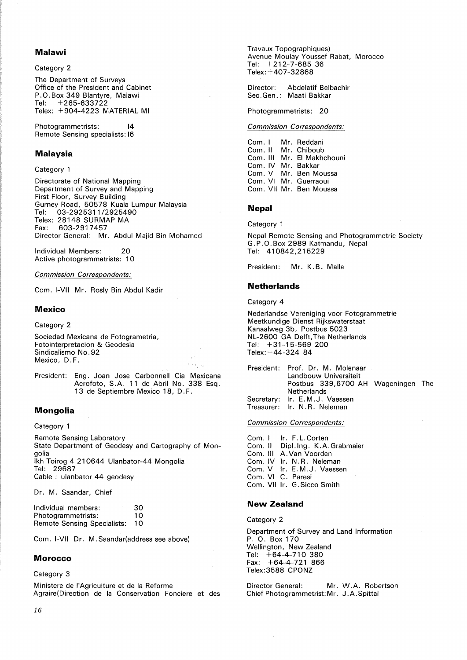## **Malawi**

Category 2

The Department of Surveys Office of the President and Cabinet P. 0. Box 349 Blantyre, Malawi Tel: +265-633722 Telex: +904-4223 MATERIAL Ml

Photogrammetrists: 14 Remote Sensing specialists: 16

## **Malaysia**

Category 1

Directorate of National Mapping Department of Survey and Mapping First Floor, Survey Building Gurney Road, 50578 Kuala Lumpur Malaysia Tel: 03-2925311 /2925490 Telex: 28148 SURMAP MA Fax: 603-2917457 Director General: Mr. Abdul Majid Bin Mohamed

Individual Members: 20 Active photogrammetrists: 10

*Commission Correspondents:* 

Com. I-VII Mr. Rosly Bin Abdul Kadir

## **Mexico**

Category 2

Sociedad Mexicana de Fotogrametria, Fotointerpretacion & Geodesia Sindicalismo No. 92 Mexico, D.F.

President: Eng. Joan Jose Carbonnell Cia Mexicana Aerofoto, S.A. 11 de Abril No. 338 Esq. 13 de Septiembre Mexico 18, D. F.

## **Mongolia**

Category 1

Remote Sensing Laboratory State Department of Geodesy and Cartography of Mongolia lkh Toirog 4 210644 Ulanbator-44 Mongolia Tel: 29687 Cable : ulanbator 44 geodesy

Dr. M. Saandar, Chief

| Individual members:                | 30 |  |
|------------------------------------|----|--|
| Photogrammetrists:                 | 10 |  |
| <b>Remote Sensing Specialists:</b> | 10 |  |

Com. I-VII Dr. M .Saandar(address see above)

## **Morocco**

Category 3

Ministere de !'Agriculture et de la Reforme Agraire(Direction de la Conservation Fonciere et des Travaux Topographiques) Avenue Moulay Youssef Rabat, Morocco Tel:  $+212-7-685$  36 Telex: +407-32868

Director: Abdelatif Belbachir Sec.Gen.: Maati Bakkar

Photogrammetrists: 20

## *Commission Correspondents:*

Com. I Mr. Reddani<br>Com. II Mr. Chiboub Mr. Chiboub Com. Ill Mr. El Makhchouni Com. IV Mr. Bakkar Com. V Mr. Ben Moussa Com. VI Mr. Guerraoui Com. VII Mr. Ben Moussa

## **Nepal**

Category 1

Nepal Remote Sensing and Photogrammetric Society G.P.0.Box 2989 Katmandu, Nepal Tel: 410842,215229

President: Mr. K.B. Malla

### **Netherlands**

Category 4

Nederlandse Vereniging voor Fotogrammetrie Meetkundige Dienst Rijkswaterstaat Kanaalweg 3b, Postbus 5023 NL-2600 GA Delft,The Netherlands Tel: +31-15-569 200 Telex: +44-324 84

President: Prof. Dr. M. Molenaar Landbouw Universiteit Postbus 339,6700 AH Wageningen The **Netherlands** Secretary: Ir. E.M.J. Vaessen Treasurer: Ir. N. R. Neleman

#### *Commission Correspondents:*

Com. I Ir. F.L.Corten<br>Com. Il Dipl.Ing. K.A. Dipl.lng. K.A.Grabmaier Com. Ill A.Van Voorden Com. IV Ir. N.R. Neleman Com. V Ir. E.M.J. Vaessen Com. VI C. Paresi Com. VII Ir. G.Sicco Smith

## **New Zealand**

Category 2

Department of Survey and Land Information P. 0. Box 170 Wellington, New Zealand Tel: +64-4-710 380  $Fax: +64-4-721866$ Telex:3588 CPONZ

Director General: Mr. W.A. Robertson Chief Photogrammetrist:Mr. J.A.Spittal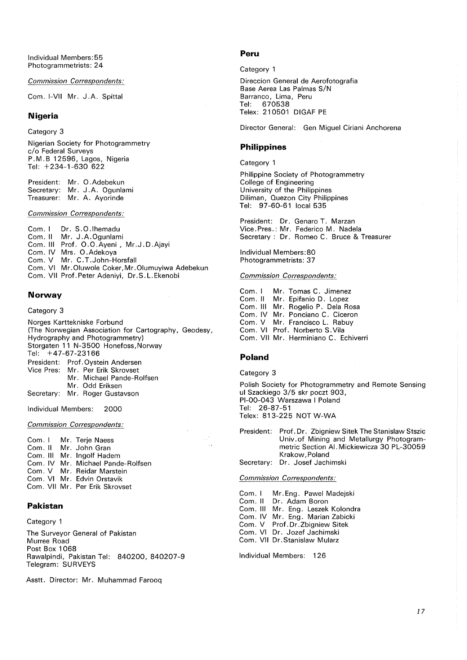Individual Members:55 Photogrammetrists: 24

*Commission Correspondents:* 

Com. I-VII Mr. J.A. Spittal

## **Nigeria**

Category 3

Nigerian Society for Photogrammetry c/o Federal Surveys P. M. B 12596, Lagos, Nigeria Tel: +234-1-630 622

President: Mr. 0.Adebekun Secretary: Mr. J.A. Ogunlami Treasurer: Mr. A. Ayorinde

*Commission Correspondents:* 

Com. I Com. II Mr. J .A.Ogunlami Com. Ill Prof. 0.0.Ayeni, Mr.J.D.Ajayi Com. IV Mrs. 0 . Adekoya Com. V Com. VI Com. VII Prof. Peter Adeniyi, Dr. S. L. Ekenobi Dr. S.O.lhemadu Mr. C.T.John-Horsfall Mr.Oluwole Coker,Mr.Olumuyiwa Adebekun

## **Norway**

### Category 3

Norges Karttekniske Forbund (The Norwegian Association for Cartography, Geodesy, Hydrography and Photogrammetry) Storgaten 11 N-3500 Honefoss,Norway Tel:  $+47-67-23166$ President: Prof. Oystein Andersen Vice Pres: Mr. Per Erik Skrovset Mr. Michael Pande-Rolfsen Mr. Odd Eriksen Secretary: Mr. Roger Gustavson

Individual Members: 2000

*Commission Correspondents:* 

Com. I Mr. Terje Naess Com. II Mr. John Gran Com. **Ill** Mr. lngolf Hadem Com. IV Mr. Michael Pande-Rolfsen Com. V Mr. Reidar Marstein Com. VI Mr. Edvin Orstavik Com. VII Mr. Per Erik Skrovset

## **Pakistan**

Category 1

The Surveyor General of Pakistan Murree Road Post Box 1 068 Rawalpindi, Pakistan Tel: 840200, 840207-9 Telegram: SURVEYS

Asstt. Director: Mr. Muhammad Farooq

### **Peru**

Category 1

Direccion General de Aerofotografia Base Aerea Las Palmas S/N Barranco, Lima, Peru Tel: 670538 Telex: 210501 DIGAF PE

Director General: Gen Miguel Ciriani Anchorena

### **Philippines**

Category 1

Philippine Society of Photogrammetry College of Engineering University of the Philippines Diliman, Quezon City Philippines Tel: 97-60-61 local 535

President: Dr. Genaro T. Marzan Vice. Pres. : Mr. Federico M. Nadela Secretary : Dr. Romeo C. Bruce & Treasurer

Individual Members:80 Photogrammetrists: 37

*Commission Correspondents:* 

Com. I Com. II Com. Ill Com. IV Mr. Ponciano C. Ciceron Com. V Mr. Francisco L. Rabuy Com. VI Prof. Norberto S. Vila Com. VII Mr. Herminiano C. Echiverri Mr. Tomas C. Jimenez Mr. Epifania D. Lopez Mr. Rogelio P. Dela Rosa

## **Poland**

#### Category 3

Polish Society for Photogrammetry and Remote Sensing ul Szackiego 3/5 skr poczt 903, Pl-00-043 Warszawa I Poland Tel: 26-87-51 Telex: 813-225 NOT W-WA

President: Prof. Dr. Zbigniew Sitek The Stanislaw Stszic Univ. of Mining and Metallurgy Photogrammetric Section Al. Mickiewicza 30 PL-30059 Krakow, Poland Secretary: Dr. Josef Jachimski

*Commission Correspondents:* 

Com. I Com. II Com. III Mr. Eng. Leszek Kolondra Com. IV Mr. Eng. Marian Zabicki Com. V Prof. Dr. Zbigniew Sitek Com. VI Dr. Jozef Jachimski Com. VII Dr.Stanislaw Mularz Mr. Eng. Pawel Madejski Dr. Adam Boron

Individual Members: 126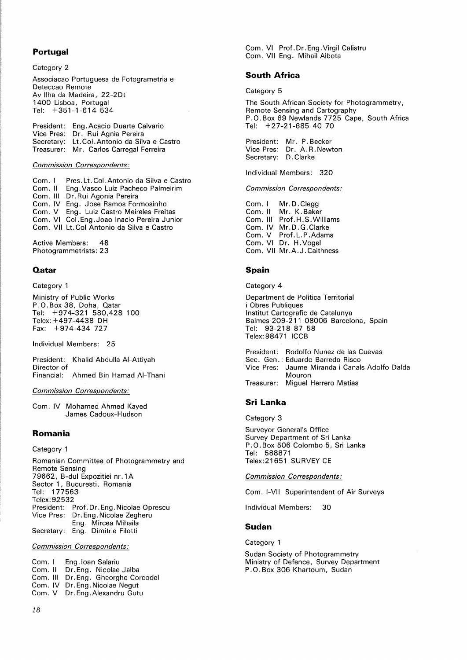## **Portugal**

Category 2 Associacao Portuguesa de Fotogrametria e Deteccao Remote Av llha da Madeira, 22-2Dt 1400 Lisboa, Portugal Tel: +351-1-614 534

| President: Eng. Acacio Duarte Calvario        |
|-----------------------------------------------|
| Vice Pres: Dr. Rui Agnia Pereira              |
| Secretary: Lt. Col. Antonio da Silva e Castro |
| Treasurer: Mr. Carlos Carregal Ferreira       |

### *Commission Correspondents:*

Com. I Com. II Com. Ill Dr. Rui Agonia Pereira Com. IV Eng. Jose Ramos Formosinho Com. V Eng. Luiz Castro Meireles Freitas Com. VI Col. Eng. Joao Inacio Pereira Junior Com. VII Lt. Col Antonio da Silva e Castro Pres. Lt. Col. Antonio da Silva e Castro Eng. Vasco Luiz Pacheco Palmeirim

Active Members: 48 Photogrammetrists: 23

## **Qatar**

#### Category 1

Ministry of Public Works P.O.Box 38, Doha, Qatar Tel: +974-321 580,428 100 Telex: +497-4438 DH Fax: +974-434 727

Individual Members: 25

President: Khalid Abdulla AI-Attiyah Director of Financial: Ahmed Bin Hamad AI-Thani

### *Commission Correspondents:*

Com. IV Mohamed Ahmed Kayed James Cadoux-Hudson

## **Romania**

Category 1

Romanian Committee of Photogrammetry and Remote Sensing 79662, B-dul Expozitiei nr. **1** A Sector 1, Bucuresti, Romania Tel: 177563 Telex:92532 President: Prof. Dr. Eng. Nicolae Oprescu Vice Pres: Dr. Eng. Nicolae Zegheru Eng. Mircea Mihaila Secretary: Eng. Dimitrie Filotti

## *Commission Correspondents:*

Com. I Com. II Com. **Ill**  Dr. Eng. Gheorghe Corcodel Com. IV Dr. Eng. Nicolae Negut Com. V Dr.Eng.Alexandru Gutu Eng. loan Salariu Dr. Eng. Nicolae Jalba

Com. VI Prof. Dr. Eng. Virgil Calistru Com. VII Eng. Mihail Albota

# **South Africa**

Category 5

The South African Society for Photogrammetry, Remote Sensing and Cartography P.0.Box 69 Newlands 7725 Cape, South Africa Tel: +27-21-685 40 70

President: Mr. P. Becker Vice Pres: Dr. A.R.Newton Secretary: D. Clarke

Individual Members: 320

#### *Commission Correspondents:*

Com. I Com. II Com. **Ill**  Prof. H. S. Williams Com. IV Mr.D.G.Clarke Com. V Prof. L. P .Adams Com. VI Dr. H.Vogel Com. VII Mr .A.J. Caithness Mr.D.Clegg Mr. K. Baker

# **Spain**

Category 4

Department de Politica Territorial i Obres Publiques lnstitut Cartografic de Catalunya Balmes 209-211 08006 Barcelona, Spain Tel: 93-218 87 58 Telex:98471 ICCB

President: Rodolfo Nunez de las Cuevas Sec. Gen. : Eduardo Barredo Risco Vice Pres: Jaume Miranda i Canals Adolfo Dalda Mouron Treasurer: Miguel Herrero Matias

## **Sri Lanka**

Category 3

Surveyor General's Office Survey Department of Sri Lanka P. 0. Box 506 Colombo 5, Sri Lanka Tel: 588871 Telex:21651 SURVEY CE

*Commission Correspondents:* 

Com. I-VII Superintendent of Air Surveys

Individual Members: 30

## **Sudan**

Category 1

Sudan Society of Photogrammetry Ministry of Defence, Survey Department P. 0. Box 306 Khartoum, Sudan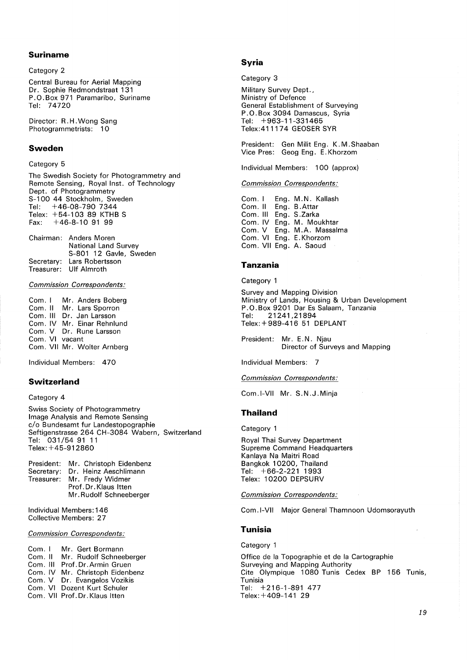## **Suriname**

Category 2

Central Bureau for Aerial Mapping Dr. Sophie Redmondstraat 131 P. 0. Box 971 Paramaribo, Suriname Tel: 74720

Director: R.H. Wong Sang Photogrammetrists: 10

### **Sweden**

### Category 5

The Swedish Society for Photogrammetry and Remote Sensing, Royal Inst. of Technology Dept. of Photogrammetry S-100 44 Stockholm, Sweden Tel: +46-08-790 7344 Telex: +54-103 89 KTHB S Fax: +46-8-10 91 99

Chairman: Anders Moren National Land Survey S-801 12 Gavle, Sweden Secretary: Lars Robertsson Treasurer: Ulf Almroth

*Commission Correspondents:* 

Com. I Mr. Anders Boberg<br>Com. II Mr. Lars Sporron Mr. Lars Sporron Com. Ill Dr. Jan Larsson Com. IV Mr. Einar Rehnlund Com. V Dr. Rune Larsson Com. VI vacant Com. VII Mr. Wolter Amberg

Individual Members: 470

## **Switzerland**

### Category 4

Swiss Society of Photogrammetry Image Analysis and Remote Sensing c/o Bundesamt fur Landestopographie Seftigenstrasse 264 CH-3084 Wabern, Switzerland Tel: 031/54 91 11 Telex: +45-912860

| President: Mr. Christoph Eidenbenz |
|------------------------------------|
| Secretary: Dr. Heinz Aeschlimann   |
| Treasurer: Mr. Fredy Widmer        |
| Prof.Dr.Klaus Itten                |
| Mr. Rudolf Schneeberger            |

Individual Members: 146 Collective Members: 27

## *Commission Correspondents:*

Com. I Com. II Com. Ill Prof. Dr.Armin Gruen Com. IV Mr. Christoph Eidenbenz Com. V Dr. Evangelos Vozikis Com. VI Dozent Kurt Schuler Com. VII Prof. Dr. Klaus ltten Mr. Gert Bormann Mr. Rudolf Schneeberger

### **Syria**

Category 3

Military Survey Dept., Ministry of Defence General Establishment of Surveying P. 0. Box 3094 Damascus, Syria Tel: +963-11-331465 Telex:411174 GEOSER SYR

President: Gen Milit Eng. K.M. Shaaban Vice Pres: Geog Eng. E.Khorzom

Individual Members: 100 (approx)

#### *Commission Correspondents:*

Com. I Com. II Com. **Ill**  Eng. S .Zarka Com. IV Eng. M. Moukhtar Com. V Com. VI Com. VII Eng. A. Saoud Eng. M.N. Kallash Eng. B .Attar Eng. Eng. M.A. Massalma E.Khorzom

## **Tanzania**

Category 1

Survey and Mapping Division Ministry of Lands, Housing & Urban Development P. 0. Box 9201 Dar Es Salaam, Tanzania Tel: 21241,21894 Telex:+989-416 51 DEPLANT

President: Mr. E.N. Njau Director of Surveys and Mapping

Individual Members: 7

#### *Commission Correspondents:*

Com.I-VII Mr. S.N.J.Minja

#### **Thailand**

Category 1

Royal Thai Survey Department Supreme Command Headquarters Kanlaya Na Maitri Road Bangkok 10200, Thailand Tel: +66-2-221 1993 Telex: 10200 DEPSURV

*Commission Correspondents:* 

Com. I-VII Major General Thamnoon Udomsorayuth

## **Tunisia**

Category 1

Office de la Topographie et de la Cartographie Surveying and Mapping Authority Cite Olympique 1080 Tunis Cedex BP 156 Tunis, Tunisia Tel: +216-1-891 477 Telex:+409-141 29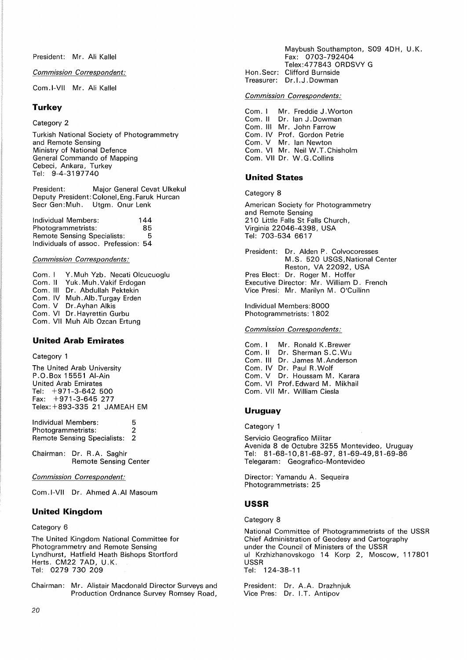*Commission Correspondent:* 

Com.I-VII Mr. Ali Kallel

## **Turkey**

## Category 2

Turkish National Society of Photogrammetry and Remote Sensing Ministry of National Defence General Commando of Mapping Cebeci, Ankara, Turkey Tel: 9-4-3197740

President: Major General Cevat Ulkekul Deputy President: Colonel, Eng. Faruk Hurcan Seer Gen:Muh. Utgm. Onur Lenk

Individual Members: 144<br>Photogrammetrists: 85 Photogrammetrists: 85<br>Remote Sensing Specialists: 5 Remote Sensing Specialists: Individuals of assoc. Prefession: 54

### *Commission Correspondents:*

Com. I Com. II Com. Ill Dr. Abdullah Pektekin Com. IV Muh.Alb.Turgay Erden Com. V Dr.Ayhan Alkis Com. VI Dr. Hayrettin Gurbu Com. VII Muh Alb Ozcan Ertung Y. Muh Yzb. Necati Olcucuoglu Yuk. Muh. Vakif Erdogan

## **United Arab Emirates**

### Category 1

The United Arab University P.O.Box 15551 AI-Ain United Arab Emirates Tel: +971-3-642 500 Fax: +971-3-645 277 Telex: +893-335 21 JAMEAH EM

Individual Members: 5 Photogrammetrists: 2 Remote Sensing Specialists: 2

Chairman: Dr. R.A. Saghir Remote Sensing Center

*Commission Correspondent:* 

Com.I-VII Dr. Ahmed A.Al Masoum

# **United Kingdom**

### Category 6

The United Kingdom National Committee for Photogrammetry and Remote Sensing Lyndhurst, Hatfield Heath Bishops Stortford Herts. CM22 7AD, U.K. Tel: 0279 730 209

Chairman: Mr. Alistair Macdonald Director Surveys and Production Ordnance Survey Romsey Road,

Maybush Southampton, S09 4DH, U.K. Fax: 0703-792404 Telex:477843 ORDSVY G Hon.Seer: Clifford Burnside Treasurer: Dr.I.J.Dowman

## *Commission Correspondents:*

Com. I Com. II Com. Ill Mr. John Farrow Com. IV Prof. Gordon Petrie Com. V Mr. Ian Newton Com. VI Mr. Neil W.T.Chisholm Com. VII Dr. W.G.Collins Mr. Freddie J. Worton Dr. Ian J. Dowman

# **United States**

Category 8

American Society for Photogrammetry and Remote Sensing 210 Little Falls St Falls Church, Virginia 22046-4398, USA Tel: 703-534 6617

President: Dr. Alden P. Colvocoresses M.S. 520 USGS,National Center Reston, VA 22092, USA Pres Elect: Dr. Roger M. Hoffer Executive Director: Mr. William D. French Vice Presi: Mr. Marilyn M. O'Cuilinn

Individual Members:8000 Photogrammetrists: 1 802

*Commission Correspondents:* 

Com. I Com. II Com. Ill Dr. James M.Anderson Com. IV Dr. Paul R.Wolf Com. V Dr. Houssam M. Karara Com. VI Prof. Edward M. Mikhail Com. VII Mr. William Ciesla Mr. Ronald K.Brewer Dr. Sherman S.C.Wu

# **Uruguay**

Category 1

Servicio Geografico Militar Avenida 8 de Octubre 3255 Montevideo, Uruguay Tel: 81-68-10,81-68-97, 81-69-49,81-69-86 Telegaram: Geografico-Montevideo

Director: Yamandu A. Sequeira Photogrammetrists: 25

#### **USSR**

Category 8

National Committee of Photogrammetrists of the USSR Chief Administration of Geodesy and Cartography under the Council of Ministers of the USSR ul Krzhizhanovskogo 14 Korp 2, Moscow, 117801 USSR Tel: 124-38-11

President: Dr. A.A. Drazhnjuk Vice Pres: Dr. I.T. Antipov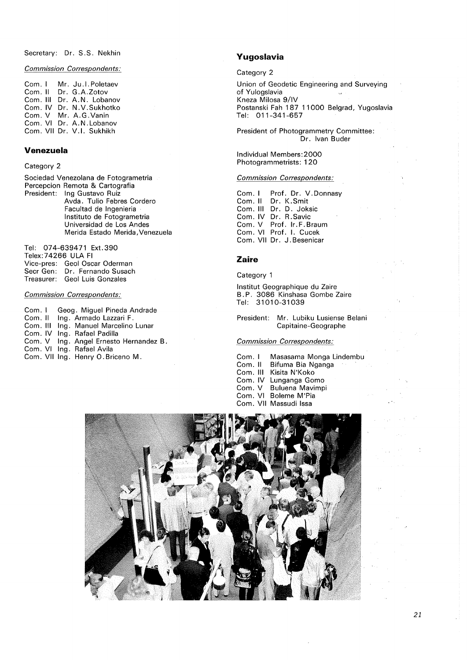Secretary: Dr. S.S. Nekhin

*Commission Correspondents:* 

Com. I Com. II Dr. G.A.Zotov Com. Ill Dr. A.N. Lobanov Com. IV Dr. N. V. Sukhotko Com. V Mr. A.G.Vanin Com. VI Dr. A.N.Lobanov Com. VII Dr. V.I. Sukhikh Mr. Ju.l.Poletaev

## **Venezuela**

Category 2

Sociedad Venezolana de Fotogrametria Percepcion Remota & Cartografia President: Ing Gustavo Ruiz Avda. Tulio Febres Cordero Facultad de lngenieria lnstituto de Fotogrametria Universidad de Los Andes Merida Estado Merida, Venezuela

Tel: 074-639471 Ext.390 Telex:74266 ULA Fl Vice-pres: Geol Oscar Oderman Seer Gen: Dr. Fernando Susach Treasurer: Geol Luis Gonzales

### *Commission Correspondents:*

Com. I Com. II Ing. Armado Lazzari F. Com. Ill Ing. Manuel Marcelino Lunar Com. IV Ing. Rafael Padilla Com. V Ing. Angel Ernesto Hernandez B. Com. VI Ing. Rafael Avila Com. VII Ing. Henry O. Briceno M. Geog. Miguel Pineda Andrade

## **Yugoslavia**

Category 2

Union of Geodetic Engineering and Surveying of Yulogslavia  $\mathbf{u}$ Kneza Milosa 9/IV Postanski Fah 187 11000 Belgrad, Yugoslavia Tel: 011-341-657

President of Photogrammetry Committee: Dr. Ivan Buder

Individual Members:2000 Photogrammetrists: 120

### *Commission Correspondents:*

Com. I Com. II Dr. K.Smit Com. Ill Dr. D. Jaksic Com. IV Com. V Com. VI Prof. I. Cucek Com. VII Dr. J. Besenicar Prof. Dr. V. Donnasy Dr. R.Savic Prof. Ir. F. Braum

#### **Zaire**

Category 1

lnstitut Geographique du Zaire B. P. 3086 Kinshasa Gombe Zaire Tel: 31010-31039

President: Mr. Lubiku Lusiense Belani Capitaine-Geographe

## *Commission Correspondents:*

Com. I Com. II Com. Ill Kisita N'Koko Com. IV Lunganga Gomo Com. V Com. VI Com. VII Massudi Issa Masasama Monga Lindembu Bifuma Bia Nganga Buluena Mavimpi Boleme M'Pia